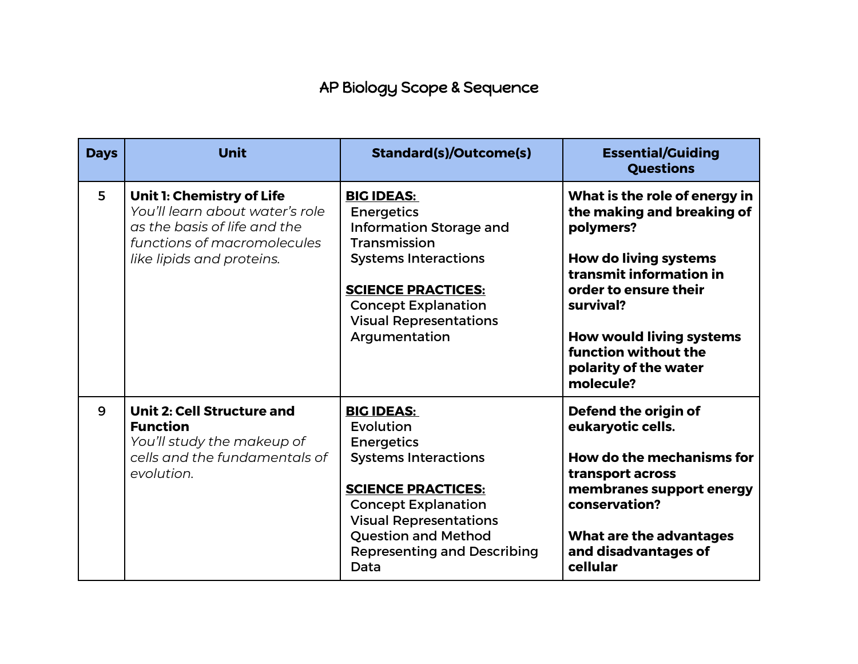## AP Biology Scope & Sequence

| <b>Days</b> | <b>Unit</b>                                                                                                                                              | <b>Standard(s)/Outcome(s)</b>                                                                                                                                                                                                                              | <b>Essential/Guiding</b><br><b>Questions</b>                                                                                                                                                                                                                               |
|-------------|----------------------------------------------------------------------------------------------------------------------------------------------------------|------------------------------------------------------------------------------------------------------------------------------------------------------------------------------------------------------------------------------------------------------------|----------------------------------------------------------------------------------------------------------------------------------------------------------------------------------------------------------------------------------------------------------------------------|
| 5           | Unit 1: Chemistry of Life<br>You'll learn about water's role<br>as the basis of life and the<br>functions of macromolecules<br>like lipids and proteins. | <b>BIG IDEAS:</b><br><b>Energetics</b><br><b>Information Storage and</b><br>Transmission<br><b>Systems Interactions</b><br><b>SCIENCE PRACTICES:</b><br><b>Concept Explanation</b><br><b>Visual Representations</b><br>Argumentation                       | What is the role of energy in<br>the making and breaking of<br>polymers?<br><b>How do living systems</b><br>transmit information in<br>order to ensure their<br>survival?<br><b>How would living systems</b><br>function without the<br>polarity of the water<br>molecule? |
| 9           | <b>Unit 2: Cell Structure and</b><br><b>Function</b><br>You'll study the makeup of<br>cells and the fundamentals of<br>evolution.                        | <b>BIG IDEAS:</b><br>Evolution<br><b>Energetics</b><br><b>Systems Interactions</b><br><b>SCIENCE PRACTICES:</b><br><b>Concept Explanation</b><br><b>Visual Representations</b><br><b>Question and Method</b><br><b>Representing and Describing</b><br>Data | Defend the origin of<br>eukaryotic cells.<br><b>How do the mechanisms for</b><br>transport across<br>membranes support energy<br>conservation?<br>What are the advantages<br>and disadvantages of<br>cellular                                                              |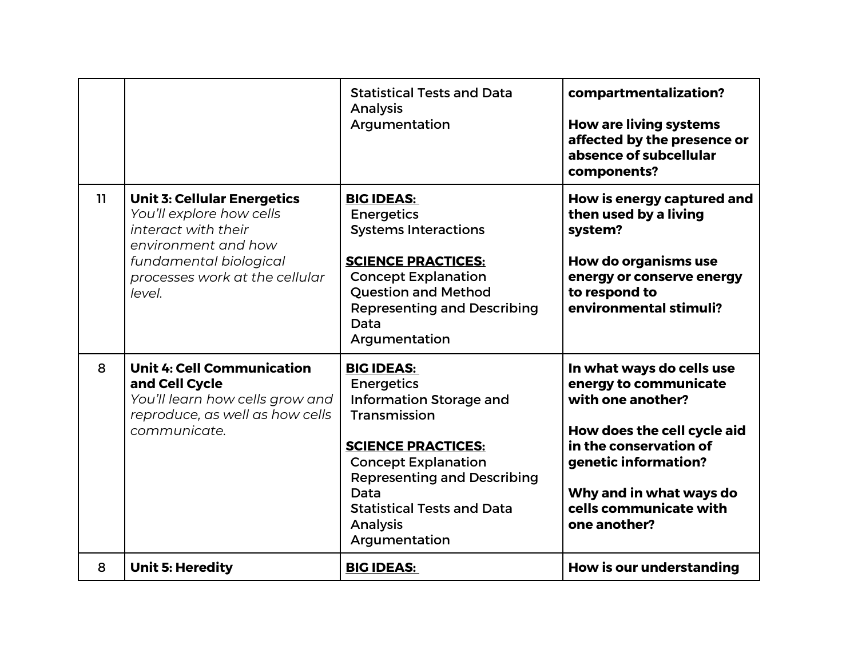|    |                                                                                                                                                                                    | <b>Statistical Tests and Data</b><br><b>Analysis</b><br>Argumentation                                                                                                                                                                                               | compartmentalization?<br><b>How are living systems</b><br>affected by the presence or<br>absence of subcellular<br>components?                                                                                                |
|----|------------------------------------------------------------------------------------------------------------------------------------------------------------------------------------|---------------------------------------------------------------------------------------------------------------------------------------------------------------------------------------------------------------------------------------------------------------------|-------------------------------------------------------------------------------------------------------------------------------------------------------------------------------------------------------------------------------|
| 11 | <b>Unit 3: Cellular Energetics</b><br>You'll explore how cells<br>interact with their<br>environment and how<br>fundamental biological<br>processes work at the cellular<br>level. | <b>BIG IDEAS:</b><br><b>Energetics</b><br><b>Systems Interactions</b><br><b>SCIENCE PRACTICES:</b><br><b>Concept Explanation</b><br><b>Question and Method</b><br><b>Representing and Describing</b><br>Data<br>Argumentation                                       | How is energy captured and<br>then used by a living<br>system?<br><b>How do organisms use</b><br>energy or conserve energy<br>to respond to<br>environmental stimuli?                                                         |
| 8  | <b>Unit 4: Cell Communication</b><br>and Cell Cycle<br>You'll learn how cells grow and<br>reproduce, as well as how cells<br>communicate.                                          | <b>BIG IDEAS:</b><br><b>Energetics</b><br><b>Information Storage and</b><br>Transmission<br><b>SCIENCE PRACTICES:</b><br><b>Concept Explanation</b><br><b>Representing and Describing</b><br>Data<br><b>Statistical Tests and Data</b><br>Analysis<br>Argumentation | In what ways do cells use<br>energy to communicate<br>with one another?<br>How does the cell cycle aid<br>in the conservation of<br>genetic information?<br>Why and in what ways do<br>cells communicate with<br>one another? |
| 8  | <b>Unit 5: Heredity</b>                                                                                                                                                            | <b>BIG IDEAS:</b>                                                                                                                                                                                                                                                   | <b>How is our understanding</b>                                                                                                                                                                                               |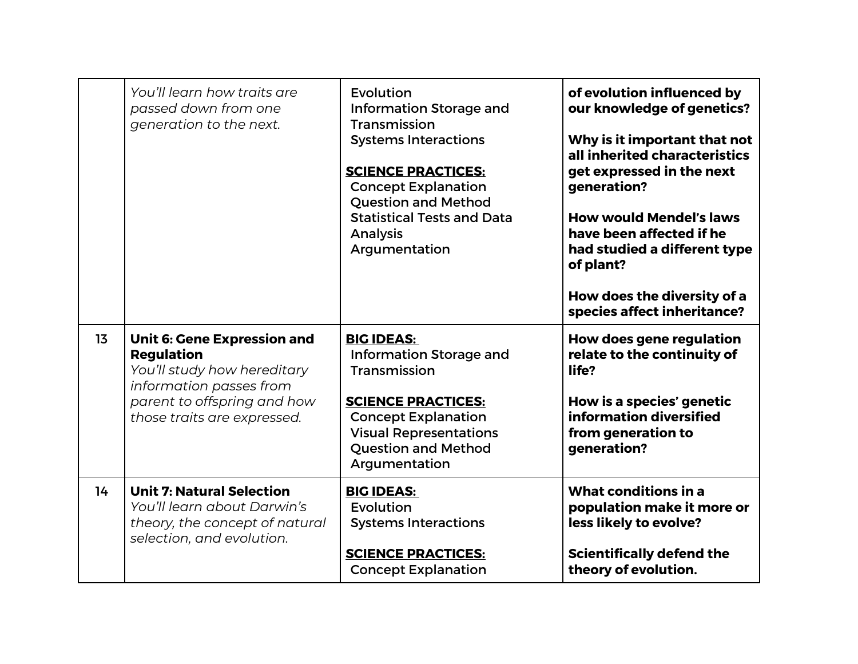|    | You'll learn how traits are<br>passed down from one<br>generation to the next.                                                                                                  | Evolution<br><b>Information Storage and</b><br>Transmission<br><b>Systems Interactions</b><br><b>SCIENCE PRACTICES:</b><br><b>Concept Explanation</b><br><b>Question and Method</b><br><b>Statistical Tests and Data</b><br>Analysis<br>Argumentation | of evolution influenced by<br>our knowledge of genetics?<br>Why is it important that not<br>all inherited characteristics<br>get expressed in the next<br>generation?<br><b>How would Mendel's laws</b><br>have been affected if he<br>had studied a different type<br>of plant?<br>How does the diversity of a<br>species affect inheritance? |
|----|---------------------------------------------------------------------------------------------------------------------------------------------------------------------------------|-------------------------------------------------------------------------------------------------------------------------------------------------------------------------------------------------------------------------------------------------------|------------------------------------------------------------------------------------------------------------------------------------------------------------------------------------------------------------------------------------------------------------------------------------------------------------------------------------------------|
| 13 | <b>Unit 6: Gene Expression and</b><br><b>Regulation</b><br>You'll study how hereditary<br>information passes from<br>parent to offspring and how<br>those traits are expressed. | <b>BIG IDEAS:</b><br><b>Information Storage and</b><br>Transmission<br><b>SCIENCE PRACTICES:</b><br><b>Concept Explanation</b><br><b>Visual Representations</b><br><b>Question and Method</b><br>Argumentation                                        | <b>How does gene regulation</b><br>relate to the continuity of<br>life?<br>How is a species' genetic<br>information diversified<br>from generation to<br>generation?                                                                                                                                                                           |
| 14 | <b>Unit 7: Natural Selection</b><br>You'll learn about Darwin's<br>theory, the concept of natural<br>selection, and evolution.                                                  | <b>BIG IDEAS:</b><br>Evolution<br><b>Systems Interactions</b><br><b>SCIENCE PRACTICES:</b><br><b>Concept Explanation</b>                                                                                                                              | What conditions in a<br>population make it more or<br>less likely to evolve?<br><b>Scientifically defend the</b><br>theory of evolution.                                                                                                                                                                                                       |